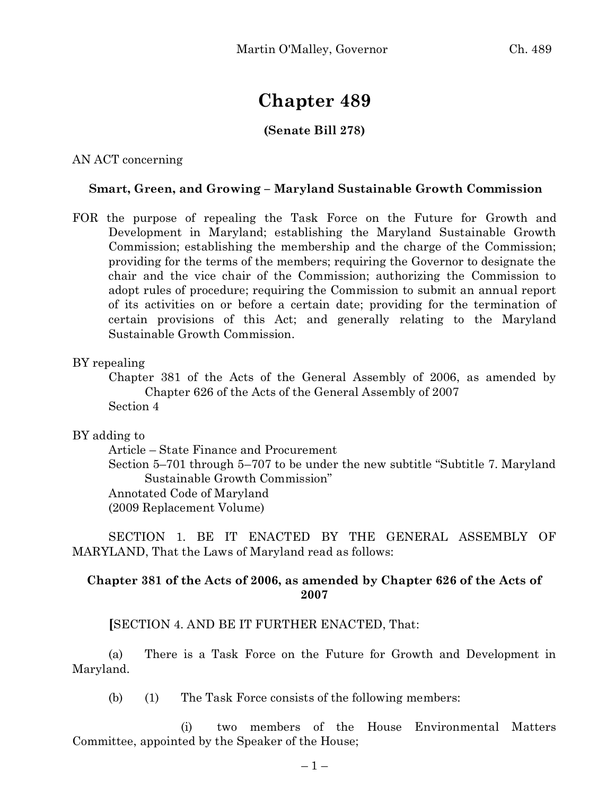# **Chapter 489**

## **(Senate Bill 278)**

AN ACT concerning

#### **Smart, Green, and Growing – Maryland Sustainable Growth Commission**

FOR the purpose of repealing the Task Force on the Future for Growth and Development in Maryland; establishing the Maryland Sustainable Growth Commission; establishing the membership and the charge of the Commission; providing for the terms of the members; requiring the Governor to designate the chair and the vice chair of the Commission; authorizing the Commission to adopt rules of procedure; requiring the Commission to submit an annual report of its activities on or before a certain date; providing for the termination of certain provisions of this Act; and generally relating to the Maryland Sustainable Growth Commission.

BY repealing

Chapter 381 of the Acts of the General Assembly of 2006, as amended by Chapter 626 of the Acts of the General Assembly of 2007 Section 4

#### BY adding to

Article – State Finance and Procurement

Section 5–701 through 5–707 to be under the new subtitle "Subtitle 7. Maryland Sustainable Growth Commission" Annotated Code of Maryland

(2009 Replacement Volume)

SECTION 1. BE IT ENACTED BY THE GENERAL ASSEMBLY OF MARYLAND, That the Laws of Maryland read as follows:

### **Chapter 381 of the Acts of 2006, as amended by Chapter 626 of the Acts of 2007**

**[**SECTION 4. AND BE IT FURTHER ENACTED, That:

(a) There is a Task Force on the Future for Growth and Development in Maryland.

(b) (1) The Task Force consists of the following members:

(i) two members of the House Environmental Matters Committee, appointed by the Speaker of the House;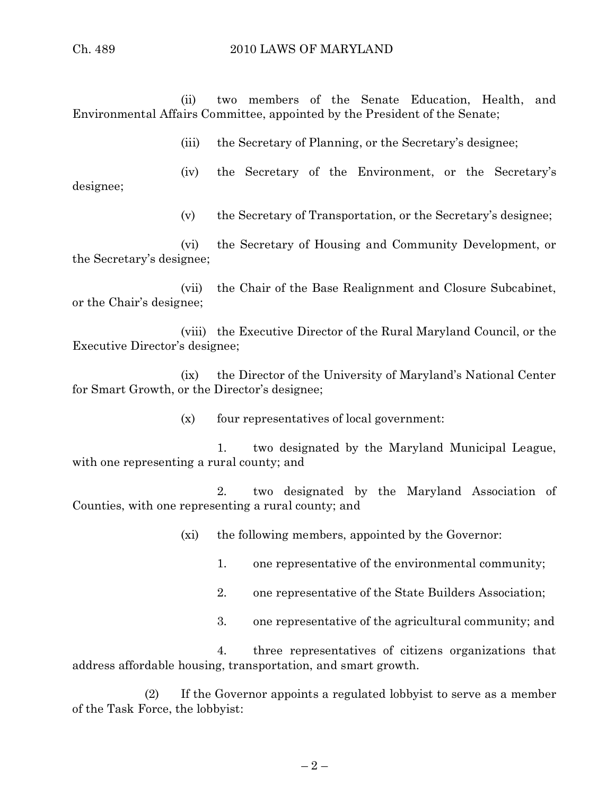(ii) two members of the Senate Education, Health, and Environmental Affairs Committee, appointed by the President of the Senate;

(iii) the Secretary of Planning, or the Secretary's designee;

(iv) the Secretary of the Environment, or the Secretary's designee;

(v) the Secretary of Transportation, or the Secretary's designee;

(vi) the Secretary of Housing and Community Development, or the Secretary's designee;

(vii) the Chair of the Base Realignment and Closure Subcabinet, or the Chair's designee;

(viii) the Executive Director of the Rural Maryland Council, or the Executive Director's designee;

(ix) the Director of the University of Maryland's National Center for Smart Growth, or the Director's designee;

(x) four representatives of local government:

1. two designated by the Maryland Municipal League, with one representing a rural county; and

2. two designated by the Maryland Association of Counties, with one representing a rural county; and

(xi) the following members, appointed by the Governor:

- 1. one representative of the environmental community;
- 2. one representative of the State Builders Association;
- 3. one representative of the agricultural community; and

4. three representatives of citizens organizations that address affordable housing, transportation, and smart growth.

(2) If the Governor appoints a regulated lobbyist to serve as a member of the Task Force, the lobbyist: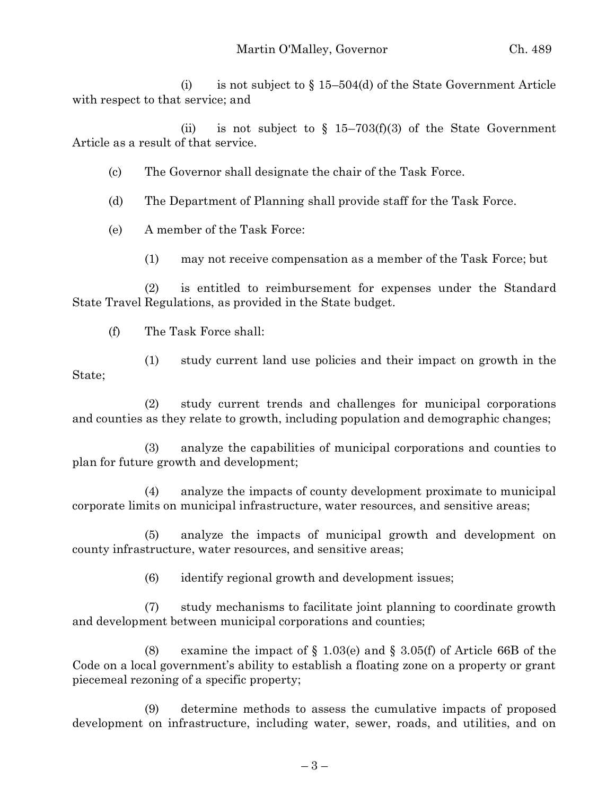(i) is not subject to  $\S 15-504(d)$  of the State Government Article with respect to that service; and

(ii) is not subject to  $\S$  15–703(f)(3) of the State Government Article as a result of that service.

(c) The Governor shall designate the chair of the Task Force.

(d) The Department of Planning shall provide staff for the Task Force.

(e) A member of the Task Force:

(1) may not receive compensation as a member of the Task Force; but

(2) is entitled to reimbursement for expenses under the Standard State Travel Regulations, as provided in the State budget.

(f) The Task Force shall:

(1) study current land use policies and their impact on growth in the State;

(2) study current trends and challenges for municipal corporations and counties as they relate to growth, including population and demographic changes;

(3) analyze the capabilities of municipal corporations and counties to plan for future growth and development;

(4) analyze the impacts of county development proximate to municipal corporate limits on municipal infrastructure, water resources, and sensitive areas;

(5) analyze the impacts of municipal growth and development on county infrastructure, water resources, and sensitive areas;

(6) identify regional growth and development issues;

(7) study mechanisms to facilitate joint planning to coordinate growth and development between municipal corporations and counties;

(8) examine the impact of  $\S 1.03(e)$  and  $\S 3.05(f)$  of Article 66B of the Code on a local government's ability to establish a floating zone on a property or grant piecemeal rezoning of a specific property;

(9) determine methods to assess the cumulative impacts of proposed development on infrastructure, including water, sewer, roads, and utilities, and on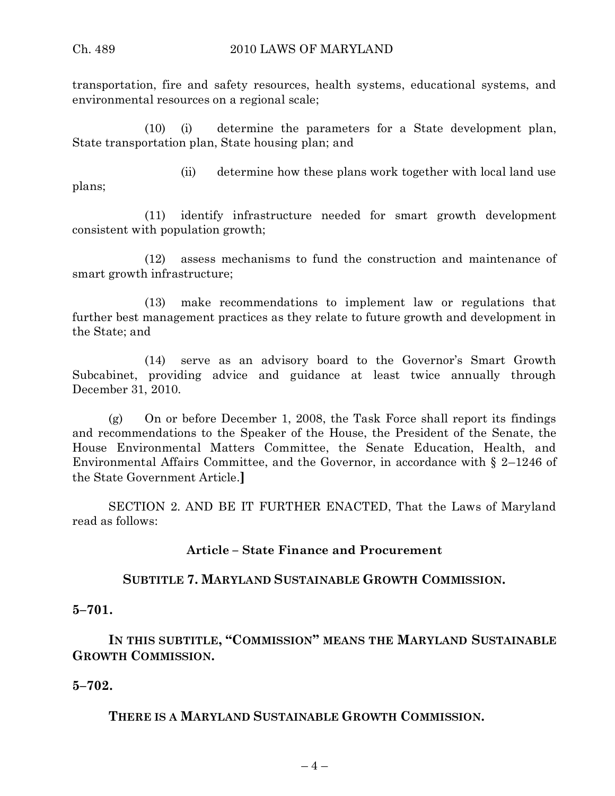transportation, fire and safety resources, health systems, educational systems, and environmental resources on a regional scale;

(10) (i) determine the parameters for a State development plan, State transportation plan, State housing plan; and

plans;

(ii) determine how these plans work together with local land use

(11) identify infrastructure needed for smart growth development consistent with population growth;

(12) assess mechanisms to fund the construction and maintenance of smart growth infrastructure;

(13) make recommendations to implement law or regulations that further best management practices as they relate to future growth and development in the State; and

(14) serve as an advisory board to the Governor's Smart Growth Subcabinet, providing advice and guidance at least twice annually through December 31, 2010.

(g) On or before December 1, 2008, the Task Force shall report its findings and recommendations to the Speaker of the House, the President of the Senate, the House Environmental Matters Committee, the Senate Education, Health, and Environmental Affairs Committee, and the Governor, in accordance with § 2–1246 of the State Government Article.**]**

SECTION 2. AND BE IT FURTHER ENACTED, That the Laws of Maryland read as follows:

## **Article – State Finance and Procurement**

## **SUBTITLE 7. MARYLAND SUSTAINABLE GROWTH COMMISSION.**

**5–701.**

**IN THIS SUBTITLE, "COMMISSION" MEANS THE MARYLAND SUSTAINABLE GROWTH COMMISSION.**

**5–702.**

**THERE IS A MARYLAND SUSTAINABLE GROWTH COMMISSION.**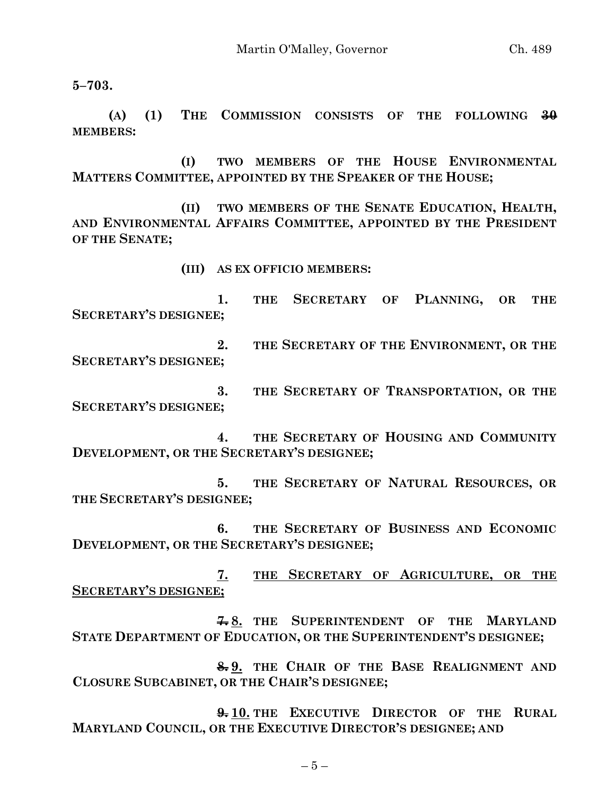**5–703.**

**(A) (1) THE COMMISSION CONSISTS OF THE FOLLOWING 30 MEMBERS:**

**(I) TWO MEMBERS OF THE HOUSE ENVIRONMENTAL MATTERS COMMITTEE, APPOINTED BY THE SPEAKER OF THE HOUSE;**

**(II) TWO MEMBERS OF THE SENATE EDUCATION, HEALTH, AND ENVIRONMENTAL AFFAIRS COMMITTEE, APPOINTED BY THE PRESIDENT OF THE SENATE;**

**(III) AS EX OFFICIO MEMBERS:**

**1. THE SECRETARY OF PLANNING, OR THE SECRETARY'S DESIGNEE;**

**2. THE SECRETARY OF THE ENVIRONMENT, OR THE SECRETARY'S DESIGNEE;**

**3. THE SECRETARY OF TRANSPORTATION, OR THE SECRETARY'S DESIGNEE;**

**4. THE SECRETARY OF HOUSING AND COMMUNITY DEVELOPMENT, OR THE SECRETARY'S DESIGNEE;**

**5. THE SECRETARY OF NATURAL RESOURCES, OR THE SECRETARY'S DESIGNEE;**

**6. THE SECRETARY OF BUSINESS AND ECONOMIC DEVELOPMENT, OR THE SECRETARY'S DESIGNEE;**

**7. THE SECRETARY OF AGRICULTURE, OR THE SECRETARY'S DESIGNEE;**

**7. 8. THE SUPERINTENDENT OF THE MARYLAND STATE DEPARTMENT OF EDUCATION, OR THE SUPERINTENDENT'S DESIGNEE;**

**8. 9. THE CHAIR OF THE BASE REALIGNMENT AND CLOSURE SUBCABINET, OR THE CHAIR'S DESIGNEE;**

**9. 10. THE EXECUTIVE DIRECTOR OF THE RURAL MARYLAND COUNCIL, OR THE EXECUTIVE DIRECTOR'S DESIGNEE; AND**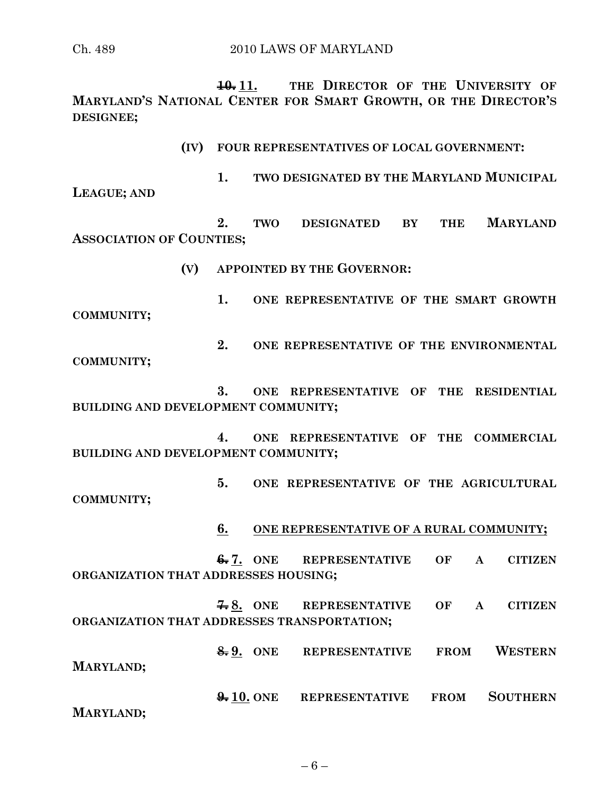Ch. 489 2010 LAWS OF MARYLAND

**10. 11. THE DIRECTOR OF THE UNIVERSITY OF MARYLAND'S NATIONAL CENTER FOR SMART GROWTH, OR THE DIRECTOR'S DESIGNEE;**

**(IV) FOUR REPRESENTATIVES OF LOCAL GOVERNMENT:**

**1. TWO DESIGNATED BY THE MARYLAND MUNICIPAL LEAGUE; AND**

**2. TWO DESIGNATED BY THE MARYLAND ASSOCIATION OF COUNTIES;**

**(V) APPOINTED BY THE GOVERNOR:**

**1. ONE REPRESENTATIVE OF THE SMART GROWTH COMMUNITY;**

**2. ONE REPRESENTATIVE OF THE ENVIRONMENTAL COMMUNITY;**

**3. ONE REPRESENTATIVE OF THE RESIDENTIAL BUILDING AND DEVELOPMENT COMMUNITY;**

**4. ONE REPRESENTATIVE OF THE COMMERCIAL BUILDING AND DEVELOPMENT COMMUNITY;**

**5. ONE REPRESENTATIVE OF THE AGRICULTURAL COMMUNITY;**

**6. ONE REPRESENTATIVE OF A RURAL COMMUNITY;**

**6. 7. ONE REPRESENTATIVE OF A CITIZEN ORGANIZATION THAT ADDRESSES HOUSING;**

**7. 8. ONE REPRESENTATIVE OF A CITIZEN ORGANIZATION THAT ADDRESSES TRANSPORTATION;**

**8. 9. ONE REPRESENTATIVE FROM WESTERN** 

**MARYLAND;**

**9. 10. ONE REPRESENTATIVE FROM SOUTHERN MARYLAND;**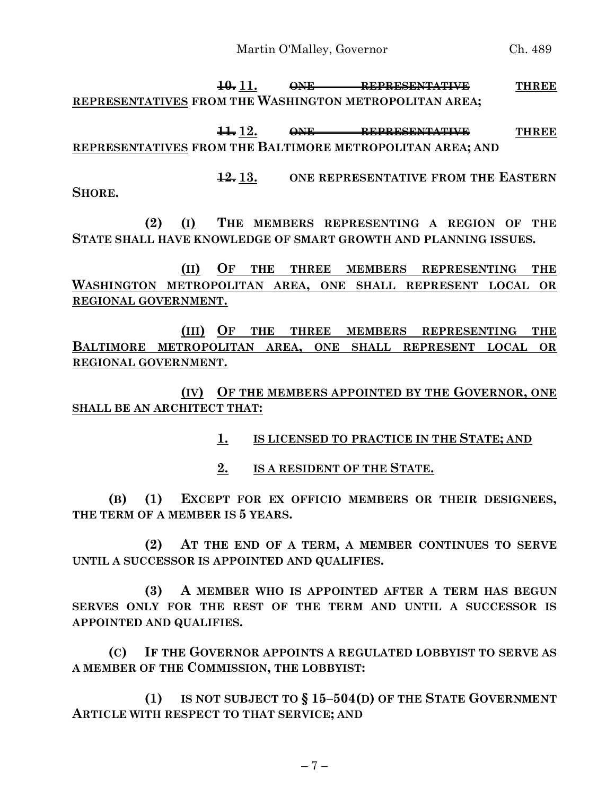**10. 11. ONE REPRESENTATIVE THREE REPRESENTATIVES FROM THE WASHINGTON METROPOLITAN AREA;**

**11. 12. ONE REPRESENTATIVE THREE REPRESENTATIVES FROM THE BALTIMORE METROPOLITAN AREA; AND**

**12. 13. ONE REPRESENTATIVE FROM THE EASTERN** 

**SHORE.**

**(2) (I) THE MEMBERS REPRESENTING A REGION OF THE STATE SHALL HAVE KNOWLEDGE OF SMART GROWTH AND PLANNING ISSUES.**

**(II) OF THE THREE MEMBERS REPRESENTING THE WASHINGTON METROPOLITAN AREA, ONE SHALL REPRESENT LOCAL OR REGIONAL GOVERNMENT.**

**(III) OF THE THREE MEMBERS REPRESENTING THE BALTIMORE METROPOLITAN AREA, ONE SHALL REPRESENT LOCAL OR REGIONAL GOVERNMENT.**

**(IV) OF THE MEMBERS APPOINTED BY THE GOVERNOR, ONE SHALL BE AN ARCHITECT THAT:**

**1. IS LICENSED TO PRACTICE IN THE STATE; AND**

**2. IS A RESIDENT OF THE STATE.**

**(B) (1) EXCEPT FOR EX OFFICIO MEMBERS OR THEIR DESIGNEES, THE TERM OF A MEMBER IS 5 YEARS.**

**(2) AT THE END OF A TERM, A MEMBER CONTINUES TO SERVE UNTIL A SUCCESSOR IS APPOINTED AND QUALIFIES.**

**(3) A MEMBER WHO IS APPOINTED AFTER A TERM HAS BEGUN SERVES ONLY FOR THE REST OF THE TERM AND UNTIL A SUCCESSOR IS APPOINTED AND QUALIFIES.**

**(C) IF THE GOVERNOR APPOINTS A REGULATED LOBBYIST TO SERVE AS A MEMBER OF THE COMMISSION, THE LOBBYIST:**

**(1) IS NOT SUBJECT TO § 15–504(D) OF THE STATE GOVERNMENT ARTICLE WITH RESPECT TO THAT SERVICE; AND**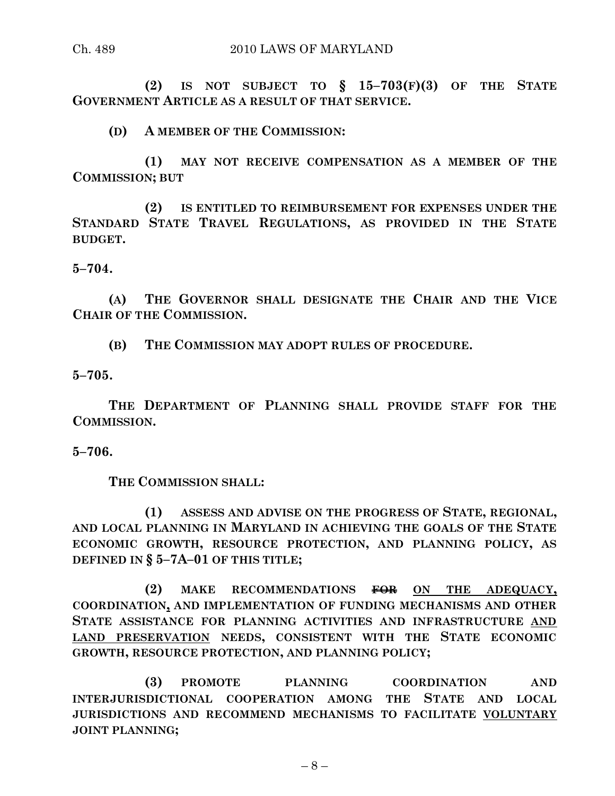**(2) IS NOT SUBJECT TO § 15–703(F)(3) OF THE STATE GOVERNMENT ARTICLE AS A RESULT OF THAT SERVICE.**

**(D) A MEMBER OF THE COMMISSION:**

**(1) MAY NOT RECEIVE COMPENSATION AS A MEMBER OF THE COMMISSION; BUT**

**(2) IS ENTITLED TO REIMBURSEMENT FOR EXPENSES UNDER THE STANDARD STATE TRAVEL REGULATIONS, AS PROVIDED IN THE STATE BUDGET.**

**5–704.**

**(A) THE GOVERNOR SHALL DESIGNATE THE CHAIR AND THE VICE CHAIR OF THE COMMISSION.**

**(B) THE COMMISSION MAY ADOPT RULES OF PROCEDURE.**

**5–705.**

**THE DEPARTMENT OF PLANNING SHALL PROVIDE STAFF FOR THE COMMISSION.**

**5–706.**

**THE COMMISSION SHALL:**

**(1) ASSESS AND ADVISE ON THE PROGRESS OF STATE, REGIONAL, AND LOCAL PLANNING IN MARYLAND IN ACHIEVING THE GOALS OF THE STATE ECONOMIC GROWTH, RESOURCE PROTECTION, AND PLANNING POLICY, AS DEFINED IN § 5–7A–01 OF THIS TITLE;**

**(2) MAKE RECOMMENDATIONS FOR ON THE ADEQUACY, COORDINATION, AND IMPLEMENTATION OF FUNDING MECHANISMS AND OTHER STATE ASSISTANCE FOR PLANNING ACTIVITIES AND INFRASTRUCTURE AND LAND PRESERVATION NEEDS, CONSISTENT WITH THE STATE ECONOMIC GROWTH, RESOURCE PROTECTION, AND PLANNING POLICY;**

**(3) PROMOTE PLANNING COORDINATION AND INTERJURISDICTIONAL COOPERATION AMONG THE STATE AND LOCAL JURISDICTIONS AND RECOMMEND MECHANISMS TO FACILITATE VOLUNTARY JOINT PLANNING;**

 $-8-$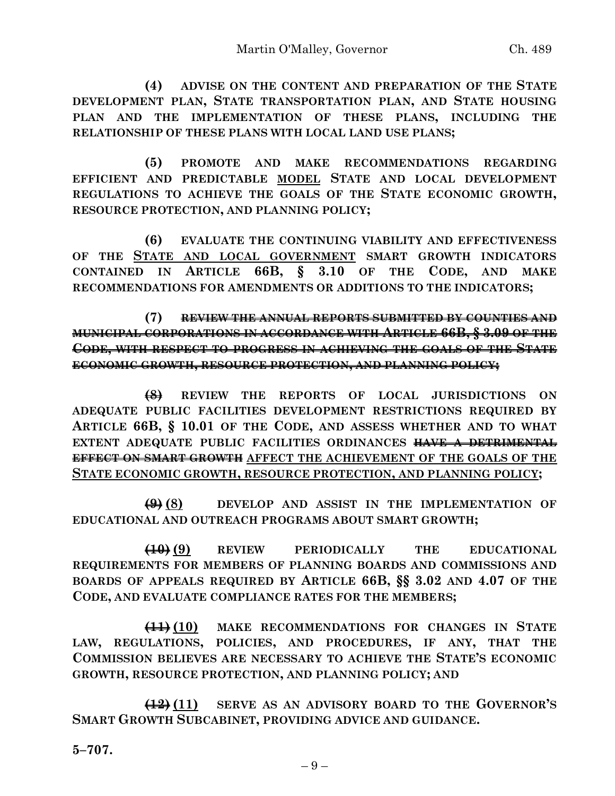**(4) ADVISE ON THE CONTENT AND PREPARATION OF THE STATE DEVELOPMENT PLAN, STATE TRANSPORTATION PLAN, AND STATE HOUSING PLAN AND THE IMPLEMENTATION OF THESE PLANS, INCLUDING THE RELATIONSHIP OF THESE PLANS WITH LOCAL LAND USE PLANS;**

**(5) PROMOTE AND MAKE RECOMMENDATIONS REGARDING EFFICIENT AND PREDICTABLE MODEL STATE AND LOCAL DEVELOPMENT REGULATIONS TO ACHIEVE THE GOALS OF THE STATE ECONOMIC GROWTH, RESOURCE PROTECTION, AND PLANNING POLICY;**

**(6) EVALUATE THE CONTINUING VIABILITY AND EFFECTIVENESS OF THE STATE AND LOCAL GOVERNMENT SMART GROWTH INDICATORS CONTAINED IN ARTICLE 66B, § 3.10 OF THE CODE, AND MAKE RECOMMENDATIONS FOR AMENDMENTS OR ADDITIONS TO THE INDICATORS;**

**(7) REVIEW THE ANNUAL REPORTS SUBMITTED BY COUNTIES AND MUNICIPAL CORPORATIONS IN ACCORDANCE WITH ARTICLE 66B, § 3.09 OF THE CODE, WITH RESPECT TO PROGRESS IN ACHIEVING THE GOALS OF THE STATE ECONOMIC GROWTH, RESOURCE PROTECTION, AND PLANNING POLICY;**

**(8) REVIEW THE REPORTS OF LOCAL JURISDICTIONS ON ADEQUATE PUBLIC FACILITIES DEVELOPMENT RESTRICTIONS REQUIRED BY ARTICLE 66B, § 10.01 OF THE CODE, AND ASSESS WHETHER AND TO WHAT EXTENT ADEQUATE PUBLIC FACILITIES ORDINANCES HAVE A DETRIMENTAL EFFECT ON SMART GROWTH AFFECT THE ACHIEVEMENT OF THE GOALS OF THE STATE ECONOMIC GROWTH, RESOURCE PROTECTION, AND PLANNING POLICY;**

**(9) (8) DEVELOP AND ASSIST IN THE IMPLEMENTATION OF EDUCATIONAL AND OUTREACH PROGRAMS ABOUT SMART GROWTH;**

**(10) (9) REVIEW PERIODICALLY THE EDUCATIONAL REQUIREMENTS FOR MEMBERS OF PLANNING BOARDS AND COMMISSIONS AND BOARDS OF APPEALS REQUIRED BY ARTICLE 66B, §§ 3.02 AND 4.07 OF THE CODE, AND EVALUATE COMPLIANCE RATES FOR THE MEMBERS;**

**(11) (10) MAKE RECOMMENDATIONS FOR CHANGES IN STATE LAW, REGULATIONS, POLICIES, AND PROCEDURES, IF ANY, THAT THE COMMISSION BELIEVES ARE NECESSARY TO ACHIEVE THE STATE'S ECONOMIC GROWTH, RESOURCE PROTECTION, AND PLANNING POLICY; AND**

**(12) (11) SERVE AS AN ADVISORY BOARD TO THE GOVERNOR'S SMART GROWTH SUBCABINET, PROVIDING ADVICE AND GUIDANCE.**

**5–707.**